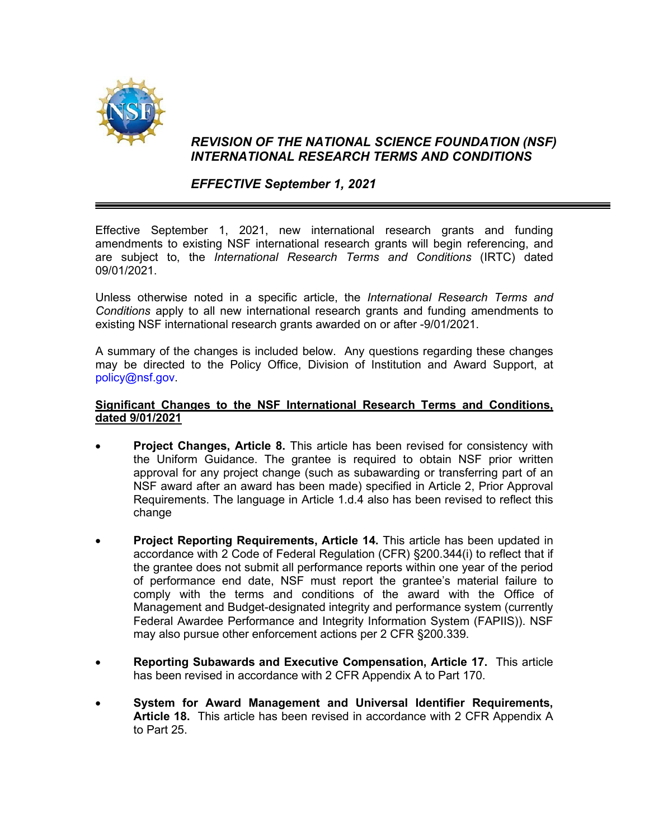

## *REVISION OF THE NATIONAL SCIENCE FOUNDATION (NSF) INTERNATIONAL RESEARCH TERMS AND CONDITIONS*

## *EFFECTIVE September 1, 2021*

Effective September 1, 2021, new international research grants and funding amendments to existing NSF international research grants will begin referencing, and are subject to, the *International Research Terms and Conditions* (IRTC) dated 09/01/2021.

Unless otherwise noted in a specific article, the *International Research Terms and Conditions* apply to all new international research grants and funding amendments to existing NSF international research grants awarded on or after -9/01/2021.

A summary of the changes is included below. Any questions regarding these changes may be directed to the Policy Office, Division of Institution and Award Support, at [policy@nsf.gov.](mailto:policy@nsf.gov)

## **Significant Changes to the NSF International Research Terms and Conditions, dated 9/01/2021**

- **Project Changes, Article 8.** This article has been revised for consistency with the Uniform Guidance. The grantee is required to obtain NSF prior written approval for any project change (such as subawarding or transferring part of an NSF award after an award has been made) specified in Article 2, Prior Approval Requirements. The language in Article 1.d.4 also has been revised to reflect this change
- **Project Reporting Requirements, Article 14.** This article has been updated in accordance with 2 Code of Federal Regulation (CFR) §200.344(i) to reflect that if the grantee does not submit all performance reports within one year of the period of performance end date, NSF must report the grantee's material failure to comply with the terms and conditions of the award with the Office of Management and Budget-designated integrity and performance system (currently Federal Awardee Performance and Integrity Information System (FAPIIS)). NSF may also pursue other enforcement actions per 2 CFR §200.339.
- **Reporting Subawards and Executive Compensation, Article 17.** This article has been revised in accordance with 2 CFR Appendix A to Part 170.
- **System for Award Management and Universal Identifier Requirements, Article 18.** This article has been revised in accordance with 2 CFR Appendix A to Part 25.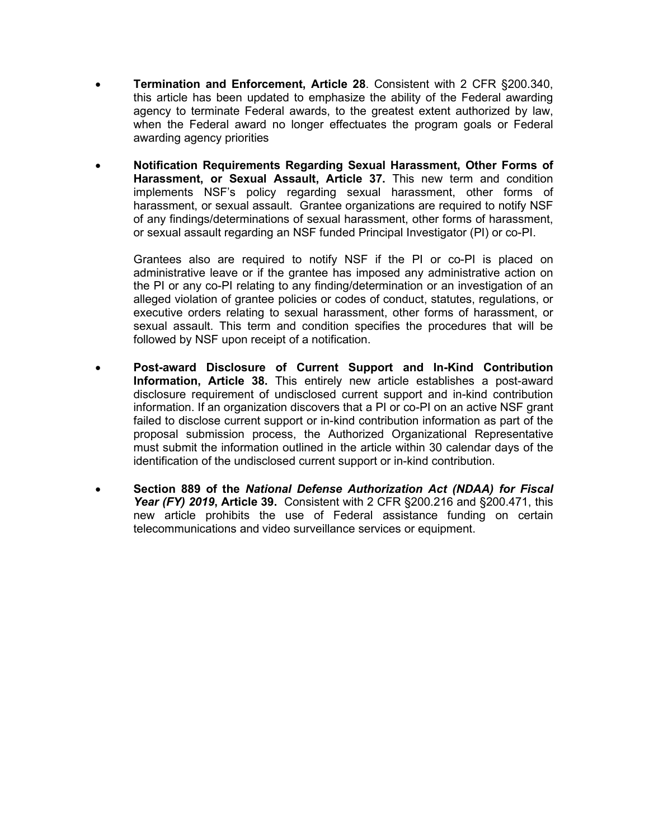- **Termination and Enforcement, Article 28**. Consistent with 2 CFR §200.340, this article has been updated to emphasize the ability of the Federal awarding agency to terminate Federal awards, to the greatest extent authorized by law, when the Federal award no longer effectuates the program goals or Federal awarding agency priorities
- **Notification Requirements Regarding Sexual Harassment, Other Forms of Harassment, or Sexual Assault, Article 37.** This new term and condition implements NSF's policy regarding sexual harassment, other forms of harassment, or sexual assault. Grantee organizations are required to notify NSF of any findings/determinations of sexual harassment, other forms of harassment, or sexual assault regarding an NSF funded Principal Investigator (PI) or co-PI.

Grantees also are required to notify NSF if the PI or co-PI is placed on administrative leave or if the grantee has imposed any administrative action on the PI or any co-PI relating to any finding/determination or an investigation of an alleged violation of grantee policies or codes of conduct, statutes, regulations, or executive orders relating to sexual harassment, other forms of harassment, or sexual assault. This term and condition specifies the procedures that will be followed by NSF upon receipt of a notification.

- **Post-award Disclosure of Current Support and In-Kind Contribution Information, Article 38.** This entirely new article establishes a post-award disclosure requirement of undisclosed current support and in-kind contribution information. If an organization discovers that a PI or co-PI on an active NSF grant failed to disclose current support or in-kind contribution information as part of the proposal submission process, the Authorized Organizational Representative must submit the information outlined in the article within 30 calendar days of the identification of the undisclosed current support or in-kind contribution.
- **Section 889 of the** *National Defense Authorization Act (NDAA) for Fiscal Year (FY) 2019***, Article 39.** Consistent with 2 CFR §200.216 and §200.471, this new article prohibits the use of Federal assistance funding on certain telecommunications and video surveillance services or equipment.